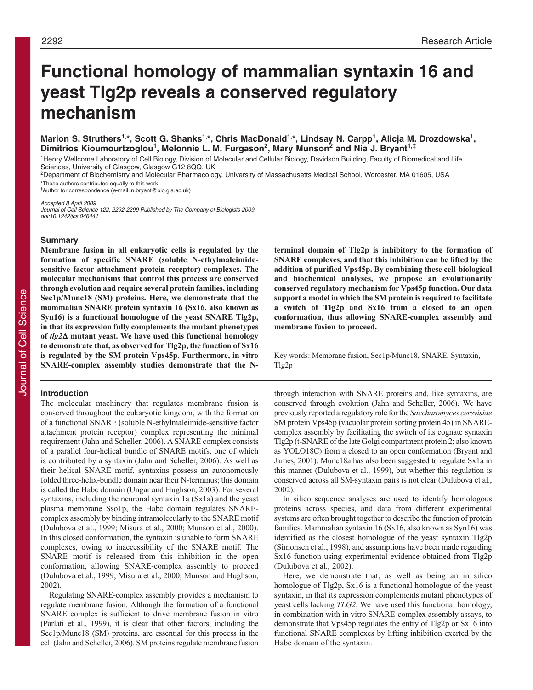# **Functional homology of mammalian syntaxin 16 and yeast Tlg2p reveals a conserved regulatory mechanism**

# Marion S. Struthers<sup>1,\*</sup>, Scott G. Shanks<sup>1,\*</sup>, Chris MacDonald<sup>1,\*</sup>, Lindsay N. Carpp<sup>1</sup>, Alicja M. Drozdowska<sup>1</sup>, **Dimitrios Kioumourtzoglou1, Melonnie L. M. Furgason2, Mary Munson2 and Nia J. Bryant1,‡**

<sup>1</sup>Henry Wellcome Laboratory of Cell Biology, Division of Molecular and Cellular Biology, Davidson Building, Faculty of Biomedical and Life Sciences, University of Glasgow, Glasgow G12 8QQ, UK

2Department of Biochemistry and Molecular Pharmacology, University of Massachusetts Medical School, Worcester, MA 01605, USA \*These authors contributed equally to this work

‡Author for correspondence (e-mail: n.bryant@bio.gla.ac.uk)

Accepted 8 April 2009

Journal of Cell Science 122, 2292-2299 Published by The Company of Biologists 2009 doi:10.1242/jcs.046441

#### **Summary**

**Membrane fusion in all eukaryotic cells is regulated by the formation of specific SNARE (soluble N-ethylmaleimidesensitive factor attachment protein receptor) complexes. The molecular mechanisms that control this process are conserved through evolution and require several protein families, including Sec1p/Munc18 (SM) proteins. Here, we demonstrate that the mammalian SNARE protein syntaxin 16 (Sx16, also known as Syn16) is a functional homologue of the yeast SNARE Tlg2p, in that its expression fully complements the mutant phenotypes of** *tlg2* $\Delta$  **mutant yeast. We have used this functional homology<br>to demonstrate that, as observed for Tlg2n, the function of Sx16 to demonstrate that, as observed for Tlg2p, the function of Sx16 is regulated by the SM protein Vps45p. Furthermore, in vitro SNARE-complex assembly studies demonstrate that the N-**

## **Introduction**

The molecular machinery that regulates membrane fusion is conserved throughout the eukaryotic kingdom, with the formation of a functional SNARE (soluble N-ethylmaleimide-sensitive factor attachment protein receptor) complex representing the minimal requirement (Jahn and Scheller, 2006). A SNARE complex consists of a parallel four-helical bundle of SNARE motifs, one of which is contributed by a syntaxin (Jahn and Scheller, 2006). As well as their helical SNARE motif, syntaxins possess an autonomously folded three-helix-bundle domain near their N-terminus; this domain is called the Habc domain (Ungar and Hughson, 2003). For several syntaxins, including the neuronal syntaxin 1a (Sx1a) and the yeast plasma membrane Sso1p, the Habc domain regulates SNAREcomplex assembly by binding intramolecularly to the SNARE motif (Dulubova et al., 1999; Misura et al., 2000; Munson et al., 2000). In this closed conformation, the syntaxin is unable to form SNARE complexes, owing to inaccessibility of the SNARE motif. The SNARE motif is released from this inhibition in the open conformation, allowing SNARE-complex assembly to proceed (Dulubova et al., 1999; Misura et al., 2000; Munson and Hughson, 2002).

Regulating SNARE-complex assembly provides a mechanism to regulate membrane fusion. Although the formation of a functional SNARE complex is sufficient to drive membrane fusion in vitro (Parlati et al., 1999), it is clear that other factors, including the Sec1p/Munc18 (SM) proteins, are essential for this process in the cell (Jahn and Scheller, 2006). SM proteins regulate membrane fusion **terminal domain of Tlg2p is inhibitory to the formation of SNARE complexes, and that this inhibition can be lifted by the addition of purified Vps45p. By combining these cell-biological and biochemical analyses, we propose an evolutionarily conserved regulatory mechanism for Vps45p function. Our data support a model in which the SM protein is required to facilitate a switch of Tlg2p and Sx16 from a closed to an open conformation, thus allowing SNARE-complex assembly and membrane fusion to proceed.**

Key words: Membrane fusion, Sec1p/Munc18, SNARE, Syntaxin, Tlg2p

through interaction with SNARE proteins and, like syntaxins, are conserved through evolution (Jahn and Scheller, 2006). We have previously reported a regulatory role for the *Saccharomyces cerevisiae* SM protein Vps45p (vacuolar protein sorting protein 45) in SNAREcomplex assembly by facilitating the switch of its cognate syntaxin Tlg2p (t-SNARE of the late Golgi compartment protein 2; also known as YOLO18C) from a closed to an open conformation (Bryant and James, 2001). Munc18a has also been suggested to regulate Sx1a in this manner (Dulubova et al., 1999), but whether this regulation is conserved across all SM-syntaxin pairs is not clear (Dulubova et al., 2002).

In silico sequence analyses are used to identify homologous proteins across species, and data from different experimental systems are often brought together to describe the function of protein families. Mammalian syntaxin 16 (Sx16, also known as Syn16) was identified as the closest homologue of the yeast syntaxin Tlg2p (Simonsen et al., 1998), and assumptions have been made regarding Sx16 function using experimental evidence obtained from Tlg2p (Dulubova et al., 2002).

Here, we demonstrate that, as well as being an in silico homologue of Tlg2p, Sx16 is a functional homologue of the yeast syntaxin, in that its expression complements mutant phenotypes of yeast cells lacking *TLG2*. We have used this functional homology, in combination with in vitro SNARE-complex assembly assays, to demonstrate that Vps45p regulates the entry of Tlg2p or Sx16 into functional SNARE complexes by lifting inhibition exerted by the Habc domain of the syntaxin.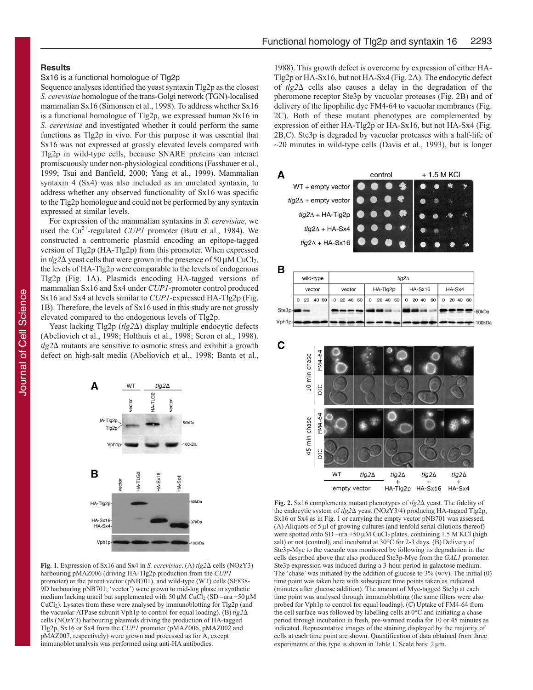# **Results**

### Sx16 is a functional homologue of Tlg2p

Sequence analyses identified the yeast syntaxin Tlg2p as the closest *S. cerevisiae* homologue of the trans*-*Golgi network (TGN)-localised mammalian Sx16 (Simonsen et al., 1998). To address whether Sx16 is a functional homologue of Tlg2p, we expressed human Sx16 in *S. cerevisiae* and investigated whether it could perform the same functions as Tlg2p in vivo. For this purpose it was essential that Sx16 was not expressed at grossly elevated levels compared with Tlg2p in wild-type cells, because SNARE proteins can interact promiscuously under non-physiological conditions (Fasshauer et al., 1999; Tsui and Banfield, 2000; Yang et al., 1999). Mammalian syntaxin 4 (Sx4) was also included as an unrelated syntaxin, to address whether any observed functionality of Sx16 was specific to the Tlg2p homologue and could not be performed by any syntaxin expressed at similar levels.

For expression of the mammalian syntaxins in *S. cerevisiae*, we used the Cu<sup>2+</sup>-regulated *CUP1* promoter (Butt et al., 1984). We constructed a centromeric plasmid encoding an epitope-tagged version of Tlg2p (HA-Tlg2p) from this promoter. When expressed in  $tlg2\Delta$  yeast cells that were grown in the presence of 50  $\mu$ M CuCl<sub>2</sub>, the levels of HA-Tlg2p were comparable to the levels of endogenous Tlg2p (Fig. 1A). Plasmids encoding HA-tagged versions of mammalian Sx16 and Sx4 under *CUP1*-promoter control produced Sx16 and Sx4 at levels similar to *CUP1*-expressed HA-Tlg2p (Fig. 1B). Therefore, the levels of Sx16 used in this study are not grossly elevated compared to the endogenous levels of Tlg2p.

Yeast lacking Tlg2p (tlg2 $\Delta$ ) display multiple endocytic defects (Abeliovich et al., 1998; Holthuis et al., 1998; Seron et al., 1998).  $t\text{lg}2\Delta$  mutants are sensitive to osmotic stress and exhibit a growth defect on high-salt media (Abeliovich et al., 1998; Banta et al.,

 $t/a2\Delta$ 

HA-Sx16

**HA-Sx4** 

0kDa

7kDa

-50kDa

WT

A

B

HA-TIg2p  $HA-Sx16$ 

 $HA-Sx4$ Vph1p

IA-Tla2p

Tig2p V<sub>ph1p</sub>



1988). This growth defect is overcome by expression of either HA-Tlg2p or HA-Sx16, but not HA-Sx4 (Fig. 2A). The endocytic defect of  $tlg2\Delta$  cells also causes a delay in the degradation of the pheromone receptor Ste3p by vacuolar proteases (Fig. 2B) and of delivery of the lipophilic dye FM4-64 to vacuolar membranes (Fig. 2C). Both of these mutant phenotypes are complemented by expression of either HA-Tlg2p or HA-Sx16, but not HA-Sx4 (Fig. 2B,C). Ste3p is degraded by vacuolar proteases with a half-life of  $\sim$ 20 minutes in wild-type cells (Davis et al., 1993), but is longer



| D      |           |                 |         |        |  |  |          |               |   |         |          |  |          |       |  |    |          |  |          |  |        |
|--------|-----------|-----------------|---------|--------|--|--|----------|---------------|---|---------|----------|--|----------|-------|--|----|----------|--|----------|--|--------|
|        | wild-type |                 |         |        |  |  |          | tlg2 $\Delta$ |   |         |          |  |          |       |  |    |          |  |          |  |        |
|        | vector    |                 |         | vector |  |  | HA-TIg2p |               |   | HA-Sx16 |          |  | HA-Sx4   |       |  |    |          |  |          |  |        |
|        |           | 0 <sub>20</sub> | 40 60 l |        |  |  |          | 0 20 40 60    | 0 |         | 20 40 60 |  | $\Omega$ | 20 40 |  | 60 | $\Omega$ |  | 20 40 60 |  |        |
| Ste3p- |           |                 |         |        |  |  |          |               |   |         |          |  |          |       |  |    |          |  |          |  | -50kDa |
| Vph1p- |           |                 |         |        |  |  |          |               |   |         |          |  |          |       |  |    |          |  |          |  | 100kD  |



**Fig. 2.** Sx16 complements mutant phenotypes of  $tlg2\Delta$  yeast. The fidelity of the endocytic system of *tlg2*Δ yeast (NOzY3/4) producing HA-tagged Tlg2p, Sx16 or Sx4 as in Fig. 1 or carrying the empty vector pNB701 was assessed. (A) Aliquots of 5 μl of growing cultures (and tenfold serial dilutions thereof) were spotted onto SD –ura +50  $\mu$ M CuCl<sub>2</sub> plates, containing 1.5 M KCl (high salt) or not (control), and incubated at 30°C for 2-3 days. (B) Delivery of Ste3p-Myc to the vacuole was monitored by following its degradation in the cells described above that also produced Ste3p-Myc from the *GAL1* promoter. Ste3p expression was induced during a 3-hour period in galactose medium. The 'chase' was initiated by the addition of glucose to  $3\frac{9}{6}$  (w/v). The initial (0) time point was taken here with subsequent time points taken as indicated (minutes after glucose addition). The amount of Myc-tagged Ste3p at each time point was analysed through immunoblotting (the same filters were also probed for Vph1p to control for equal loading). (C) Uptake of FM4-64 from the cell surface was followed by labelling cells at 0°C and initiating a chase period through incubation in fresh, pre-warmed media for 10 or 45 minutes as indicated. Representative images of the staining displayed by the majority of cells at each time point are shown. Quantification of data obtained from three experiments of this type is shown in Table 1. Scale bars: 2 μm.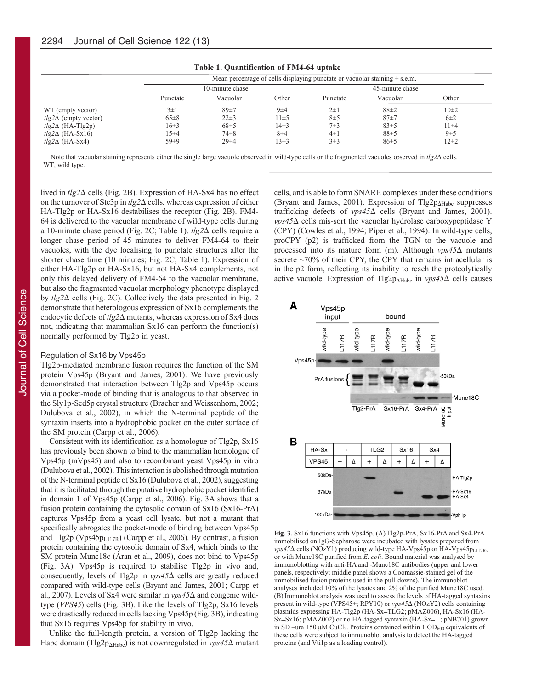|                             |          | Mean percentage of cells displaying punctate or vacuolar staining $\pm$ s.e.m. |           |                 |          |          |  |  |  |  |  |
|-----------------------------|----------|--------------------------------------------------------------------------------|-----------|-----------------|----------|----------|--|--|--|--|--|
|                             |          | 10-minute chase                                                                |           | 45-minute chase |          |          |  |  |  |  |  |
|                             | Punctate | Vacuolar                                                                       | Other     | Punctate        | Vacuolar | Other    |  |  |  |  |  |
| WT (empty vector)           | $3\pm1$  | $89+7$                                                                         | $9\pm4$   | $2\pm1$         | $88+2$   | $10 + 2$ |  |  |  |  |  |
| $tlg2\Delta$ (empty vector) | $65\pm8$ | $22\pm3$                                                                       | $11\pm 5$ | $8\pm5$         | $87+7$   | $6\pm2$  |  |  |  |  |  |
| $tlg2\Delta$ (HA-Tlg2p)     | $16\pm3$ | $68\pm5$                                                                       | $14\pm3$  | $7\pm3$         | $83+5$   | $11 + 4$ |  |  |  |  |  |
| $tlg2\Delta$ (HA-Sx16)      | $15 + 4$ | $74 + 8$                                                                       | $8\pm4$   | $4\pm1$         | $88 + 5$ | 9±5      |  |  |  |  |  |
| $tlg2\Delta$ (HA-Sx4)       | $59 + 9$ | $29 + 4$                                                                       | $13\pm3$  | $3\pm3$         | 86±5     | $12 + 2$ |  |  |  |  |  |

**Table 1. Quantification of FM4-64 uptake**

Note that vacuolar staining represents either the single large vacuole observed in wild-type cells or the fragmented vacuoles observed in *tlg2*Δ cells. WT, wild type.

lived in *tlg2*∆ cells (Fig. 2B). Expression of HA-Sx4 has no effect on the turnover of Ste3p in  $tlg2\Delta$  cells, whereas expression of either HA-Tlg2p or HA-Sx16 destabilises the receptor (Fig. 2B). FM4- 64 is delivered to the vacuolar membrane of wild-type cells during a 10-minute chase period (Fig. 2C; Table 1).  $tlg2\Delta$  cells require a longer chase period of 45 minutes to deliver FM4-64 to their vacuoles, with the dye localising to punctate structures after the shorter chase time (10 minutes; Fig. 2C; Table 1). Expression of either HA-Tlg2p or HA-Sx16, but not HA-Sx4 complements, not only this delayed delivery of FM4-64 to the vacuolar membrane, but also the fragmented vacuolar morphology phenotype displayed by  $t\lg 2\Delta$  cells (Fig. 2C). Collectively the data presented in Fig. 2 demonstrate that heterologous expression of Sx16 complements the endocytic defects of *tlg2* $\Delta$  mutants, whereas expression of Sx4 does not, indicating that mammalian Sx16 can perform the function(s) normally performed by Tlg2p in yeast.

#### Regulation of Sx16 by Vps45p

Tlg2p-mediated membrane fusion requires the function of the SM protein Vps45p (Bryant and James, 2001). We have previously demonstrated that interaction between Tlg2p and Vps45p occurs via a pocket-mode of binding that is analogous to that observed in the Sly1p-Sed5p crystal structure (Bracher and Weissenhorn, 2002; Dulubova et al., 2002), in which the N-terminal peptide of the syntaxin inserts into a hydrophobic pocket on the outer surface of the SM protein (Carpp et al., 2006).

Consistent with its identification as a homologue of Tlg2p, Sx16 has previously been shown to bind to the mammalian homologue of Vps45p (mVps45) and also to recombinant yeast Vps45p in vitro (Dulubova et al., 2002). This interaction is abolished through mutation of the N-terminal peptide of Sx16 (Dulubova et al., 2002), suggesting that it is facilitated through the putative hydrophobic pocket identified in domain 1 of Vps45p (Carpp et al., 2006). Fig. 3A shows that a fusion protein containing the cytosolic domain of Sx16 (Sx16-PrA) captures Vps45p from a yeast cell lysate, but not a mutant that specifically abrogates the pocket-mode of binding between Vps45p and Tlg2p (Vps45 $p_{L117R}$ ) (Carpp et al., 2006). By contrast, a fusion protein containing the cytosolic domain of Sx4, which binds to the SM protein Munc18c (Aran et al., 2009), does not bind to Vps45p (Fig. 3A). Vps45p is required to stabilise Tlg2p in vivo and, consequently, levels of Tlg2p in  $vps45\Delta$  cells are greatly reduced compared with wild-type cells (Bryant and James, 2001; Carpp et al., 2007). Levels of Sx4 were similar in *vps45*∆ and congenic wildtype (*VPS45*) cells (Fig. 3B). Like the levels of Tlg2p, Sx16 levels were drastically reduced in cells lacking Vps45p (Fig. 3B), indicating that Sx16 requires Vps45p for stability in vivo.

Unlike the full-length protein, a version of Tlg2p lacking the Habc domain (Tlg2p<sub>AHabc</sub>) is not downregulated in *vps45* $\Delta$  mutant cells, and is able to form SNARE complexes under these conditions (Bryant and James, 2001). Expression of Tlg2 $p_{\Delta H abc}$  suppresses trafficking defects of *vps45* $\Delta$  cells (Bryant and James, 2001). *vps45*∆ cells mis-sort the vacuolar hydrolase carboxypeptidase Y (CPY) (Cowles et al., 1994; Piper et al., 1994). In wild-type cells, proCPY (p2) is trafficked from the TGN to the vacuole and processed into its mature form (m). Although *vps45* $\Delta$  mutants secrete  $\sim$ 70% of their CPY, the CPY that remains intracellular is in the p2 form, reflecting its inability to reach the proteolytically active vacuole. Expression of Tlg2p<sub>AHabc</sub> in *vps45* $\Delta$  cells causes



**Fig. 3.** Sx16 functions with Vps45p. (A) Tlg2p-PrA, Sx16-PrA and Sx4-PrA immobilised on IgG-Sepharose were incubated with lysates prepared from *vps45*∆ cells (NOzY1) producing wild-type HA-Vps45p or HA-Vps45p<sub>L117R</sub>, or with Munc18C purified from *E. coli*. Bound material was analysed by immunoblotting with anti-HA and -Munc18C antibodies (upper and lower panels, respectively; middle panel shows a Coomassie-stained gel of the immobilised fusion proteins used in the pull-downs). The immunoblot analyses included 10% of the lysates and 2% of the purified Munc18C used. (B) Immunoblot analysis was used to assess the levels of HA-tagged syntaxins present in wild-type (VPS45+; RPY10) or  $vps45\Delta$  (NOzY2) cells containing plasmids expressing HA-Tlg2p (HA-Sx=TLG2; pMAZ006), HA-Sx16 (HA-Sx=Sx16; pMAZ002) or no HA-tagged syntaxin (HA-Sx= –; pNB701) grown in SD –ura +50  $\mu$ M CuCl<sub>2</sub>. Proteins contained within 1 OD<sub>600</sub> equivalents of these cells were subject to immunoblot analysis to detect the HA-tagged proteins (and Vti1p as a loading control).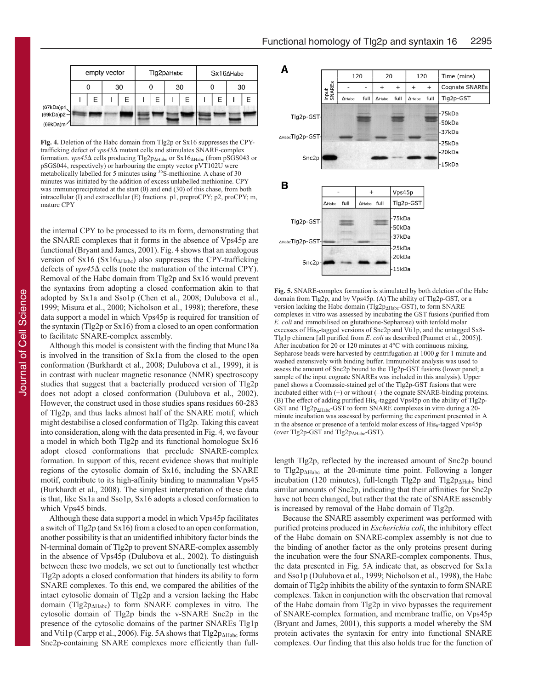|              |              |   |  |    |   |   | Tlg2p∆Habc |   | Sx16∆Habc |   |    |   |
|--------------|--------------|---|--|----|---|---|------------|---|-----------|---|----|---|
|              | empty vector |   |  |    |   |   |            |   |           |   |    |   |
|              | 0            |   |  | 30 | 0 |   | 30         |   |           |   | 30 |   |
|              |              | Е |  | E  |   | E |            | E |           | E |    | F |
| (67kDa)p1    |              |   |  |    |   |   |            |   |           |   |    |   |
| $(69kDa)p2-$ |              |   |  |    |   |   |            |   |           |   |    |   |
| (69kDa)m     |              |   |  |    |   |   |            |   |           |   |    |   |

**Fig. 4.** Deletion of the Habc domain from Tlg2p or Sx16 suppresses the CPYtrafficking defect of *vps45* $\Delta$  mutant cells and stimulates SNARE-complex formation. *vps45*∆ cells producing Tlg2p<sub>∆Habc</sub> or Sx16<sub>∆Habc</sub> (from pSGS043 or pSGS044, respectively) or harbouring the empty vector pVT102U were metabolically labelled for 5 minutes using <sup>35</sup>S-methionine. A chase of 30 minutes was initiated by the addition of excess unlabelled methionine. CPY was immunoprecipitated at the start (0) and end (30) of this chase, from both intracellular (I) and extracellular (E) fractions. p1, preproCPY; p2, proCPY; m, mature CPY

the internal CPY to be processed to its m form, demonstrating that the SNARE complexes that it forms in the absence of Vps45p are functional (Bryant and James, 2001). Fig. 4 shows that an analogous version of Sx16 (Sx16<sub>AHabc</sub>) also suppresses the CPY-trafficking defects of  $vps45\Delta$  cells (note the maturation of the internal CPY). Removal of the Habc domain from Tlg2p and Sx16 would prevent the syntaxins from adopting a closed conformation akin to that adopted by Sx1a and Sso1p (Chen et al., 2008; Dulubova et al., 1999; Misura et al., 2000; Nicholson et al., 1998); therefore, these data support a model in which Vps45p is required for transition of the syntaxin (Tlg2p or Sx16) from a closed to an open conformation to facilitate SNARE-complex assembly.

Although this model is consistent with the finding that Munc18a is involved in the transition of Sx1a from the closed to the open conformation (Burkhardt et al., 2008; Dulubova et al., 1999), it is in contrast with nuclear magnetic resonance (NMR) spectroscopy studies that suggest that a bacterially produced version of Tlg2p does not adopt a closed conformation (Dulubova et al., 2002). However, the construct used in those studies spans residues 60-283 of Tlg2p, and thus lacks almost half of the SNARE motif, which might destabilise a closed conformation of Tlg2p. Taking this caveat into consideration, along with the data presented in Fig. 4, we favour a model in which both Tlg2p and its functional homologue Sx16 adopt closed conformations that preclude SNARE-complex formation. In support of this, recent evidence shows that multiple regions of the cytosolic domain of Sx16, including the SNARE motif, contribute to its high-affinity binding to mammalian Vps45 (Burkhardt et al., 2008). The simplest interpretation of these data is that, like Sx1a and Sso1p, Sx16 adopts a closed conformation to which Vps45 binds.

Although these data support a model in which Vps45p facilitates a switch of Tlg2p (and Sx16) from a closed to an open conformation, another possibility is that an unidentified inhibitory factor binds the N-terminal domain of Tlg2p to prevent SNARE-complex assembly in the absence of Vps45p (Dulubova et al., 2002). To distinguish between these two models, we set out to functionally test whether Tlg2p adopts a closed conformation that hinders its ability to form SNARE complexes. To this end, we compared the abilities of the intact cytosolic domain of Tlg2p and a version lacking the Habc domain (Tlg2p<sub>AHabc</sub>) to form SNARE complexes in vitro. The cytosolic domain of Tlg2p binds the v-SNARE Snc2p in the presence of the cytosolic domains of the partner SNAREs Tlg1p and  $Vti1p$  (Carpp et al., 2006). Fig. 5A shows that Tlg2 $p_{\Delta Habc}$  forms Snc2p-containing SNARE complexes more efficiently than full-



**Fig. 5.** SNARE-complex formation is stimulated by both deletion of the Habc domain from Tlg2p, and by Vps45p. (A) The ability of Tlg2p-GST, or a version lacking the Habc domain (Tlg2p<sub>AHabc</sub>-GST), to form SNARE complexes in vitro was assessed by incubating the GST fusions (purified from *E. coli* and immobilised on glutathione-Sepharose) with tenfold molar excesses of His<sub>6</sub>-tagged versions of Snc2p and Vti1p, and the untagged Sx8-Tlg1p chimera [all purified from *E. coli* as described (Paumet et al., 2005)]. After incubation for 20 or 120 minutes at 4°C with continuous mixing, Sepharose beads were harvested by centrifugation at 1000 *g* for 1 minute and washed extensively with binding buffer. Immunoblot analysis was used to assess the amount of Snc2p bound to the Tlg2p-GST fusions (lower panel; a sample of the input cognate SNAREs was included in this analysis). Upper panel shows a Coomassie-stained gel of the Tlg2p-GST fusions that were incubated either with (+) or without (–) the cognate SNARE-binding proteins. (B) The effect of adding purified  $His<sub>6</sub>$ -tagged Vps45p on the ability of Tlg2p-GST and Tlg2p<sub>AHabc</sub>-GST to form SNARE complexes in vitro during a 20minute incubation was assessed by performing the experiment presented in A in the absence or presence of a tenfold molar excess of  $His<sub>6</sub>$ -tagged Vps45p (over Tlg2p-GST and Tlg2p $_{\Delta Habc}$ -GST).

length Tlg2p, reflected by the increased amount of Snc2p bound to  $Tlg2p_{\Delta Habc}$  at the 20-minute time point. Following a longer incubation (120 minutes), full-length Tlg2p and Tlg2p<sub>AHabc</sub> bind similar amounts of Snc2p, indicating that their affinities for Snc2p have not been changed, but rather that the rate of SNARE assembly is increased by removal of the Habc domain of Tlg2p.

Because the SNARE assembly experiment was performed with purified proteins produced in *Escherichia coli*, the inhibitory effect of the Habc domain on SNARE-complex assembly is not due to the binding of another factor as the only proteins present during the incubation were the four SNARE-complex components. Thus, the data presented in Fig. 5A indicate that, as observed for Sx1a and Sso1p (Dulubova et al., 1999; Nicholson et al., 1998), the Habc domain of Tlg2p inhibits the ability of the syntaxin to form SNARE complexes. Taken in conjunction with the observation that removal of the Habc domain from Tlg2p in vivo bypasses the requirement of SNARE-complex formation, and membrane traffic, on Vps45p (Bryant and James, 2001), this supports a model whereby the SM protein activates the syntaxin for entry into functional SNARE complexes. Our finding that this also holds true for the function of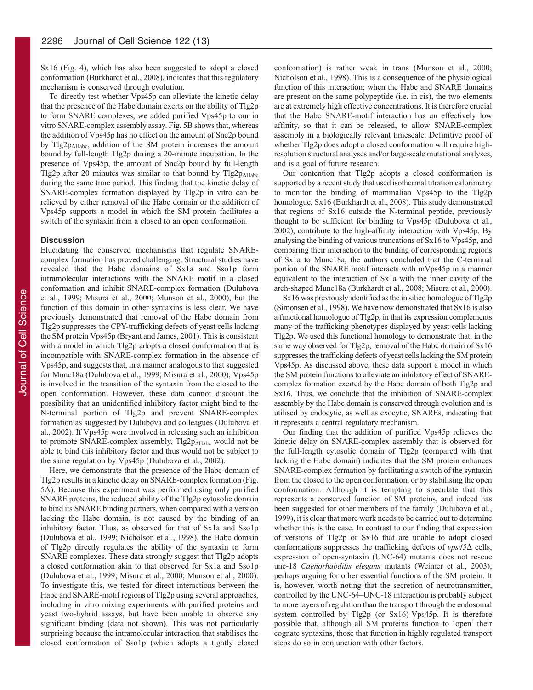Sx16 (Fig. 4), which has also been suggested to adopt a closed conformation (Burkhardt et al., 2008), indicates that this regulatory mechanism is conserved through evolution.

To directly test whether Vps45p can alleviate the kinetic delay that the presence of the Habc domain exerts on the ability of Tlg2p to form SNARE complexes, we added purified Vps45p to our in vitro SNARE-complex assembly assay. Fig. 5B shows that, whereas the addition of Vps45p has no effect on the amount of Snc2p bound by Tlg2p<sub>AHabc</sub>, addition of the SM protein increases the amount bound by full-length Tlg2p during a 20-minute incubation. In the presence of Vps45p, the amount of Snc2p bound by full-length Tlg2p after 20 minutes was similar to that bound by  $Tlg2p_{\Delta Habc}$ during the same time period. This finding that the kinetic delay of SNARE-complex formation displayed by Tlg2p in vitro can be relieved by either removal of the Habc domain or the addition of Vps45p supports a model in which the SM protein facilitates a switch of the syntaxin from a closed to an open conformation.

#### **Discussion**

Elucidating the conserved mechanisms that regulate SNAREcomplex formation has proved challenging. Structural studies have revealed that the Habc domains of Sx1a and Sso1p form intramolecular interactions with the SNARE motif in a closed conformation and inhibit SNARE-complex formation (Dulubova et al., 1999; Misura et al., 2000; Munson et al., 2000), but the function of this domain in other syntaxins is less clear. We have previously demonstrated that removal of the Habc domain from Tlg2p suppresses the CPY-trafficking defects of yeast cells lacking the SM protein Vps45p (Bryant and James, 2001). This is consistent with a model in which Tlg2p adopts a closed conformation that is incompatible with SNARE-complex formation in the absence of Vps45p, and suggests that, in a manner analogous to that suggested for Munc18a (Dulubova et al., 1999; Misura et al., 2000), Vps45p is involved in the transition of the syntaxin from the closed to the open conformation. However, these data cannot discount the possibility that an unidentified inhibitory factor might bind to the N-terminal portion of Tlg2p and prevent SNARE-complex formation as suggested by Dulubova and colleagues (Dulubova et al., 2002). If Vps45p were involved in releasing such an inhibition to promote SNARE-complex assembly, Tlg2p<sub>AHabc</sub> would not be able to bind this inhibitory factor and thus would not be subject to the same regulation by Vps45p (Dulubova et al., 2002).

Here, we demonstrate that the presence of the Habc domain of Tlg2p results in a kinetic delay on SNARE-complex formation (Fig. 5A). Because this experiment was performed using only purified SNARE proteins, the reduced ability of the Tlg2p cytosolic domain to bind its SNARE binding partners, when compared with a version lacking the Habc domain, is not caused by the binding of an inhibitory factor. Thus, as observed for that of Sx1a and Sso1p (Dulubova et al., 1999; Nicholson et al., 1998), the Habc domain of Tlg2p directly regulates the ability of the syntaxin to form SNARE complexes. These data strongly suggest that Tlg2p adopts a closed conformation akin to that observed for Sx1a and Sso1p (Dulubova et al., 1999; Misura et al., 2000; Munson et al., 2000). To investigate this, we tested for direct interactions between the Habc and SNARE-motif regions of Tlg2p using several approaches, including in vitro mixing experiments with purified proteins and yeast two-hybrid assays, but have been unable to observe any significant binding (data not shown). This was not particularly surprising because the intramolecular interaction that stabilises the closed conformation of Sso1p (which adopts a tightly closed

conformation) is rather weak in trans (Munson et al., 2000; Nicholson et al., 1998). This is a consequence of the physiological function of this interaction; when the Habc and SNARE domains are present on the same polypeptide (i.e. in cis), the two elements are at extremely high effective concentrations. It is therefore crucial that the Habc–SNARE-motif interaction has an effectively low affinity, so that it can be released, to allow SNARE-complex assembly in a biologically relevant timescale. Definitive proof of whether Tlg2p does adopt a closed conformation will require highresolution structural analyses and/or large-scale mutational analyses, and is a goal of future research.

Our contention that Tlg2p adopts a closed conformation is supported by a recent study that used isothermal titration calorimetry to monitor the binding of mammalian Vps45p to the Tlg2p homologue, Sx16 (Burkhardt et al., 2008). This study demonstrated that regions of Sx16 outside the N-terminal peptide, previously thought to be sufficient for binding to Vps45p (Dulubova et al., 2002), contribute to the high-affinity interaction with Vps45p. By analysing the binding of various truncations of Sx16 to Vps45p, and comparing their interaction to the binding of corresponding regions of Sx1a to Munc18a, the authors concluded that the C-terminal portion of the SNARE motif interacts with mVps45p in a manner equivalent to the interaction of Sx1a with the inner cavity of the arch-shaped Munc18a (Burkhardt et al., 2008; Misura et al., 2000).

Sx16 was previously identified as the in silico homologue of Tlg2p (Simonsen et al., 1998). We have now demonstrated that Sx16 is also a functional homologue of Tlg2p, in that its expression complements many of the trafficking phenotypes displayed by yeast cells lacking Tlg2p. We used this functional homology to demonstrate that, in the same way observed for Tlg2p, removal of the Habc domain of Sx16 suppresses the trafficking defects of yeast cells lacking the SM protein Vps45p. As discussed above, these data support a model in which the SM protein functions to alleviate an inhibitory effect of SNAREcomplex formation exerted by the Habc domain of both Tlg2p and Sx16. Thus, we conclude that the inhibition of SNARE-complex assembly by the Habc domain is conserved through evolution and is utilised by endocytic, as well as exocytic, SNAREs, indicating that it represents a central regulatory mechanism.

Our finding that the addition of purified Vps45p relieves the kinetic delay on SNARE-complex assembly that is observed for the full-length cytosolic domain of Tlg2p (compared with that lacking the Habc domain) indicates that the SM protein enhances SNARE-complex formation by facilitating a switch of the syntaxin from the closed to the open conformation, or by stabilising the open conformation. Although it is tempting to speculate that this represents a conserved function of SM proteins, and indeed has been suggested for other members of the family (Dulubova et al., 1999), it is clear that more work needs to be carried out to determine whether this is the case. In contrast to our finding that expression of versions of Tlg2p or Sx16 that are unable to adopt closed conformations suppresses the trafficking defects of  $vps45\Delta$  cells, expression of open-syntaxin (UNC-64) mutants does not rescue unc-18 *Caenorhabditis elegans* mutants (Weimer et al., 2003), perhaps arguing for other essential functions of the SM protein. It is, however, worth noting that the secretion of neurotransmitter, controlled by the UNC-64–UNC-18 interaction is probably subject to more layers of regulation than the transport through the endosomal system controlled by Tlg2p (or Sx16)-Vps45p. It is therefore possible that, although all SM proteins function to 'open' their cognate syntaxins, those that function in highly regulated transport steps do so in conjunction with other factors.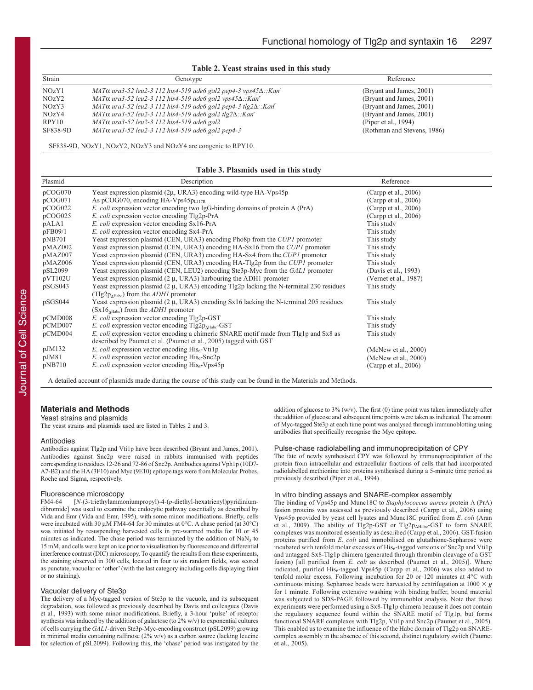**Table 2. Yeast strains used in this study**

| Strain   | Genotype                                                                        | Reference                   |
|----------|---------------------------------------------------------------------------------|-----------------------------|
| NOZY1    | MAT $\alpha$ ura3-52 leu2-3 112 his4-519 ade6 gal2 pep4-3 vps45 $\Delta$ ::Kan' | (Bryant and James, 2001)    |
| NOzY2    | MAT $\alpha$ ura3-52 leu2-3 112 his4-519 ade6 gal2 vps45 $\Delta$ ::Kan'        | (Bryant and James, 2001)    |
| NOzY3    | MAT $\alpha$ ura3-52 leu2-3 112 his4-519 ade6 gal2 pep4-3 tlg2 $\Delta$ ::Kan'  | (Bryant and James, 2001)    |
| NOzY4    | MAT $\alpha$ ura3-52 leu2-3 112 his4-519 ade6 gal2 tlg2 $\Delta$ ::Kan'         | (Bryant and James, 2001)    |
| RPY10    | MAT <sub>0</sub> ura3-52 leu2-3 112 his4-519 ade6 gal2                          | (Piper et al., $1994$ )     |
| SF838-9D | $MAT\alpha$ ura3-52 leu2-3 112 his4-519 ade6 gal2 pep4-3                        | (Rothman and Stevens, 1986) |

SF838-9D, NOzY1, NOzY2, NOzY3 and NOzY4 are congenic to RPY10.

#### **Table 3. Plasmids used in this study**

| Plasmid | Description                                                                                        | Reference               |
|---------|----------------------------------------------------------------------------------------------------|-------------------------|
| pCOG070 | Yeast expression plasmid (2μ, URA3) encoding wild-type HA-Vps45p                                   | (Carpp et al., 2006)    |
| pCOG071 | As pCOG070, encoding HA-Vps45 $p_{L117R}$                                                          | (Carpp et al., $2006$ ) |
| pCOG022 | <i>E. coli</i> expression vector encoding two IgG-binding domains of protein A (PrA)               | (Carpp et al., 2006)    |
| pCOG025 | E. coli expression vector encoding Tlg2p-PrA                                                       | (Carpp et al., 2006)    |
| pALA1   | E. coli expression vector encoding Sx16-PrA                                                        | This study              |
| pFB09/1 | E. coli expression vector encoding Sx4-PrA                                                         | This study              |
| pNB701  | Yeast expression plasmid (CEN, URA3) encoding Pho8p from the CUP1 promoter                         | This study              |
| pMAZ002 | Yeast expression plasmid (CEN, URA3) encoding HA-Sx16 from the CUP1 promoter                       | This study              |
| pMAZ007 | Yeast expression plasmid (CEN, URA3) encoding HA-Sx4 from the <i>CUP1</i> promoter                 | This study              |
| pMAZ006 | Yeast expression plasmid (CEN, URA3) encoding HA-Tlg2p from the CUP1 promoter                      | This study              |
| pSL2099 | Yeast expression plasmid (CEN, LEU2) encoding Ste3p-Myc from the GAL1 promoter                     | (Davis et al., 1993)    |
| pVT102U | Yeast expression plasmid $(2 \mu, URA3)$ harbouring the ADH1 promoter                              | (Vernet et al., 1987)   |
| pSGS043 | Yeast expression plasmid $(2 \mu, \text{URA3})$ encoding Tlg2p lacking the N-terminal 230 residues | This study              |
|         | (Tlg2 $p_{AHabc}$ ) from the <i>ADH1</i> promoter                                                  |                         |
| pSGS044 | Yeast expression plasmid $(2 \mu, \text{URA3})$ encoding Sx16 lacking the N-terminal 205 residues  | This study              |
|         | $(Sx16AHabc)$ from the <i>ADH1</i> promoter                                                        |                         |
| pCMD008 | E. coli expression vector encoding Tlg2p-GST                                                       | This study              |
| pCMD007 | <i>E. coli</i> expression vector encoding $Tlg2p_{\text{AHabe}}-GST$                               | This study              |
| pCMD004 | <i>E. coli</i> expression vector encoding a chimeric SNARE motif made from Tlg1p and Sx8 as        | This study              |
|         | described by Paumet et al. (Paumet et al., 2005) tagged with GST                                   |                         |
| pJM132  | <i>E. coli</i> expression vector encoding $His6-Vti1p$                                             | (McNew et al., 2000)    |
| pJM81   | <i>E. coli</i> expression vector encoding His <sub>6</sub> -Snc2p                                  | (McNew et al., 2000)    |
| pNB710  | <i>E. coli</i> expression vector encoding $His6 - Vps45p$                                          | (Carpp et al., 2006)    |
|         |                                                                                                    |                         |

A detailed account of plasmids made during the course of this study can be found in the Materials and Methods.

#### **Materials and Methods**

Yeast strains and plasmids

The yeast strains and plasmids used are listed in Tables 2 and 3.

#### Antibodies

Antibodies against Tlg2p and Vti1p have been described (Bryant and James, 2001). Antibodies against Snc2p were raised in rabbits immunised with peptides corresponding to residues 12-26 and 72-86 of Snc2p. Antibodies against Vph1p (10D7- A7-B2) and the HA (3F10) and Myc (9E10) epitope tags were from Molecular Probes, Roche and Sigma, respectively.

# Fluorescence microscopy<br>FM4-64 [N-(3-triethylammo

FM4-64 [*N*-(3-triethylammoniumpropyl)-4-(*p*-diethyl-hexatrienyl)pyridiniumdibromide] was used to examine the endocytic pathway essentially as described by Vida and Emr (Vida and Emr, 1995), with some minor modifications. Briefly, cells were incubated with 30 μM FM4-64 for 30 minutes at 0°C. A chase period (at 30°C) was initiated by resuspending harvested cells in pre-warmed media for 10 or 45 minutes as indicated. The chase period was terminated by the addition of  $NaN<sub>3</sub>$  to 15 mM, and cells were kept on ice prior to visualisation by fluorescence and differential interference contrast (DIC) microscopy. To quantify the results from these experiments, the staining observed in 300 cells, located in four to six random fields, was scored as punctate, vacuolar or 'other' (with the last category including cells displaying faint or no staining).

#### Vacuolar delivery of Ste3p

The delivery of a Myc-tagged version of Ste3p to the vacuole, and its subsequent degradation, was followed as previously described by Davis and colleagues (Davis et al., 1993) with some minor modifications. Briefly, a 3-hour 'pulse' of receptor synthesis was induced by the addition of galactose (to 2% w/v) to exponential cultures of cells carrying the *GAL1*-driven Ste3p-Myc-encoding construct (pSL2099) growing in minimal media containing raffinose (2% w/v) as a carbon source (lacking leucine for selection of pSL2099). Following this, the 'chase' period was instigated by the addition of glucose to  $3\%$  (w/v). The first (0) time point was taken immediately after the addition of glucose and subsequent time points were taken as indicated. The amount of Myc-tagged Ste3p at each time point was analysed through immunoblotting using antibodies that specifically recognise the Myc epitope.

#### Pulse-chase radiolabelling and immunoprecipitation of CPY

The fate of newly synthesised CPY was followed by immunoprecipitation of the protein from intracellular and extracellular fractions of cells that had incorporated radiolabelled methionine into proteins synthesised during a 5-minute time period as previously described (Piper et al., 1994).

#### In vitro binding assays and SNARE-complex assembly

The binding of Vps45p and Munc18C to *Staphylococcus aureus* protein A (PrA) fusion proteins was assessed as previously described (Carpp et al., 2006) using Vps45p provided by yeast cell lysates and Munc18C purified from *E. coli* (Aran et al., 2009). The ability of Tlg2p-GST or Tlg2p<sub>AHabc</sub>-GST to form SNARE complexes was monitored essentially as described (Carpp et al., 2006). GST-fusion proteins purified from *E. coli* and immobilised on glutathione-Sepharose were incubated with tenfold molar excesses of  $His<sub>6</sub>$ -tagged versions of Snc2p and Vti1p and untagged Sx8-Tlg1p chimera (generated through thrombin cleavage of a GST fusion) [all purified from *E. coli* as described (Paumet et al., 2005)]. Where indicated, purified His<sub>6</sub>-tagged Vps45p (Carpp et al., 2006) was also added to tenfold molar excess. Following incubation for 20 or 120 minutes at 4°C with continuous mixing. Sepharose beads were harvested by centrifugation at  $1000 \times g$ for 1 minute. Following extensive washing with binding buffer, bound material was subjected to SDS-PAGE followed by immunoblot analysis. Note that these experiments were performed using a Sx8-Tlg1p chimera because it does not contain the regulatory sequence found within the SNARE motif of Tlg1p, but forms functional SNARE complexes with Tlg2p, Vti1p and Snc2p (Paumet et al., 2005). This enabled us to examine the influence of the Habc domain of Tlg2p on SNAREcomplex assembly in the absence of this second, distinct regulatory switch (Paumet et al., 2005).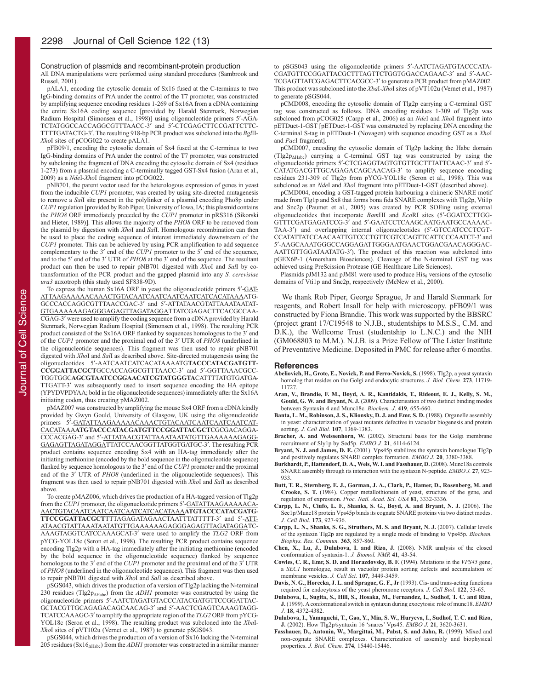#### Construction of plasmids and recombinant-protein production

All DNA manipulations were performed using standard procedures (Sambrook and Russel, 2001).

pALA1, encoding the cytosolic domain of Sx16 fused at the C-terminus to two IgG-binding domains of PrA under the control of the T7 promoter, was constructed by amplifying sequence encoding residues 1-269 of Sx16A from a cDNA containing the entire Sx16A coding sequence [provided by Harald Stenmark, Norwegian Radium Hospital (Simonsen et al., 1998)] using oligonucleotide primers 5′-AGA - TCTATGGCCACCAGGCGTTTAACC-3' and 5'-CTCGAGCTTCCGATTCTTC-TTTTGATACTG-3′. The resulting 918-bp PCR product was subcloned into the *Bgl*II-*Xho*I sites of pCOG022 to create pALA1.

pFB09/1, encoding the cytosolic domain of Sx4 fused at the C-terminus to two IgG-binding domains of PrA under the control of the T7 promoter, was constructed by subcloning the fragment of DNA encoding the cytosolic domain of Sx4 (residues 1-273) from a plasmid encoding a C-terminally tagged GST-Sx4 fusion (Aran et al., 2009) as a *Nde*I-*Xho*I fragment into pCOG022.

pNB701, the parent vector used for the heterologous expression of genes in yeast from the inducible *CUP1* promoter, was created by using site-directed mutagenesis to remove a *Sal*I site present in the polylinker of a plasmid encoding Pho8p under *CUP1* regulation [provided by Rob Piper, University of Iowa, IA; this plasmid contains the *PHO8* ORF immediately preceded by the *CUP1* promoter in pRS316 (Sikorski and Hieter, 1989)]. This allows the majority of the *PHO8* ORF to be removed from the plasmid by digestion with *Xho*I and *Sal*I. Homologous recombination can then be used to place the coding sequence of interest immediately downstream of the *CUP1* promoter. This can be achieved by using PCR amplification to add sequence complementary to the 3′ end of the *CUP1* promoter to the 5′ end of the sequence, and to the 5′ end of the 3′ UTR of *PHO8* at the 3′ end of the sequence. The resultant product can then be used to repair pNB701 digested with *Xho*I and *Sal*I by cotransformation of the PCR product and the gapped plasmid into any *S. cerevisiae ura3* auxotroph (this study used SF838-9D).

To express the human Sx16A ORF in yeast the oligonucleotide primers 5'-GAT-ATTAAGAAAAACAAACTGTACAATCAATCAATCAATCATCACATAAAATG - GCCCACCAGGCGTTTAACCGAC-3' and 5'-ATTATAACGTATTAAATAATAT-GTGAAAAAAGAGGGAGAGTTAGATAGGATTATCGAGACTTCACGCCAA - CGAG-3′ were used to amplify the coding sequence from a cDNA provided by Harald Stenmark, Norwegian Radium Hospital (Simonsen et al., 1998). The resulting PCR product consisted of the Sx16A ORF flanked by sequences homologous to the 3′ end of the *CUP1* promoter and the proximal end of the 3′ UTR of *PHO8* (underlined in the oligonucleotide sequences). This fragment was then used to repair pNB701 digested with *Xho*I and *Sal*I as described above. Site-directed mutagenesis using the oligonucleotides 5′-AATCAATCATCACATAAAATG**TACCCATACGATGTT**-**CCGG ATTACGCT**GCCACCAGGCGTTTAACC-3′ and 5′-GGTTAAACG CC - TGGTGGC**AGCGTAATCCGGAACATCGTATGGGTA**CATTTTATGTGATGA - TTGATT-3′ was subsequently used to insert sequence encoding the HA epitope (YPYDVPDYAA; bold in the oligonucleotide sequences) immediately after the Sx16A initiating codon, thus creating pMAZ002.

pMAZ007 was constructed by amplifying the mouse Sx4 ORF from a cDNA kindly provided by Gwyn Gould, University of Glasgow, UK using the oligonucleotide primers 5′-GATATTAAGAAAAACAAACTGTACAATCAATCAATCAAT CAT - CACATAAA**ATGTACCCATACGATGTTCCGGATTACGCT**CGCGACAGGA - CCCACGAG-3' and 5'-ATTATAACGTATTAAATAATATGTTGAAAAAAGAGG-GAGAGTTAGATAGGATTATCCAACGGTTATGGTGATGC-3′. The resulting PCR product contains sequence encoding Sx4 with an HA-tag immediately after the initiating methionine (encoded by the bold sequence in the oligonucleotide sequence) flanked by sequence homologous to the 3′ end of the *CUP1* promoter and the proximal end of the 3<sup>'</sup> UTR of *PHO8* (underlined in the oligonucleotide sequences). This fragment was then used to repair pNB701 digested with *Xho*I and *Sal*I as described above.

To create pMAZ006, which drives the production of a HA-tagged version of Tlg2p from the *CUP1* promoter, the oligonucleotide primers 5'-GATATTAAGAAAAACA-AACTGTACAATCAATCAATCAATCATCACATAAA**ATGTACCCATACGATG**-**TTCCGGATTACGCT**TTTAGAGATAGAACTAATTTATTTTT-3′ and 5′-ATT - ATAACGTATTAAATAATATGTTGAAAAAAGAGGGAGAGTTAGATAGGATC - AAAGTAGGTCATCCAAAGCAT-3′ were used to amplify the *TLG2* ORF from pYCG-YOL18c (Seron et al., 1998). The resulting PCR product contains sequence encoding Tlg2p with a HA-tag immediately after the initiating methionine (encoded by the bold sequence in the oligonucleotide sequence) flanked by sequence homologous to the 3′ end of the *CUP1* promoter and the proximal end of the 3′ UTR of *PHO8* (underlined in the oligonucleotide sequences). This fragment was then used to repair pNB701 digested with *Xho*I and *Sal*I as described above.

pSGS043, which drives the production of a version of Tlg2p lacking the N-terminal 230 residues (Tlg2pΔHabc) from the *ADH1* promoter was constructed by using the oligonucleotide primers 5'-AATCTAGATGTACCCATACGATGTTCCGGATTAC-GCTACGTTGCAGAGACAGCAACAG-3′ and 5′- AACTCGAGTCAAA GTAGG - TCATCCAAAGC-3′ to amplify the appropriate region of the *TLG2* ORF from pYCG-YOL18c (Seron et al., 1998). The resulting product was subcloned into the *Xba*I-*Xho*I sites of pVT102u (Vernet et al., 1987) to generate pSGS043.

pSGS044, which drives the production of a version of Sx16 lacking the N-terminal 205 residues (Sx16ΔHabc) from the *ADH1* promoter was constructed in a similar manner to pSGS043 using the oligonucleotide primers 5'-AATCTAGATGTACCCATA-CGATGTTCCGGATTACGCTTTAGTTCTGGTGGACCAGAAC-3′ and 5′-AAC - TCGAGTTATCGAGACTTCACGCC-3′ to generate a PCR product from pMAZ002. This product was subcloned into the *Xba*I-*Xho*I sites of pVT102u (Vernet et al., 1987) to generate pSGS044.

pCMD008, encoding the cytosolic domain of Tlg2p carrying a C-terminal GST tag was constructed as follows. DNA encoding residues 1-309 of Tlg2p was subcloned from pCOG025 (Carpp et al., 2006) as an *Nde*I and *Xho*I fragment into pETDuet-1-GST [pETDuet-1-GST was constructed by replacing DNA encoding the C-terminal S-tag in pETDuet-1 (Novagen) with sequence encoding GST as a *Xho*I and *Pac*I fragment].

pCMD007, encoding the cytosolic domain of Tlg2p lacking the Habc domain (Tlg2pΔHabc) carrying a C-terminal GST tag was constructed by using the oligonucleotide primers 5′-CTCGAGGTAGTGTGTTGCTTTATTCAAC-3′ and 5′- CATATGACGTTGCAGAGACAGCAACAG-3′ to amplify sequence encoding residues 231-309 of Tlg2p from pYCG-YOL18c (Seron et al., 1998). This was subcloned as an *Nde*I and *Xho*I fragment into pETDuet-1-GST (described above).

pCMD004, encoding a GST-tagged protein harbouring a chimeric SNARE motif made from Tlg1p and Sx8 that forms bona fida SNARE complexes with Tlg2p, Vti1p and Snc2p (Paumet et al., 2005) was created by PCR SOEing using external oligonucleotides that incorporate *BamHI* and *EcoRI* sites (5'-GGATCCTTGG-GTTTCGATGAGATCCG-3' and 5'-GAATCCTCAAGCAATGAATGCCAAAAC-TAA-3') and overlapping internal oligonucleotides (5'-GTCCATCCCTCGT-CCATATTATCCAACAATTGTCCCTGTTCGTCCAGTTCATTCCCAATCT-3′ and 5′-AAGCAAATGGGCCAGGAG ATTGGGAATGA ACTG GACGAACAGGGA C - AATTGTTGGATAATATG-3′). The product of this reaction was subcloned into pGEX6P-1 (Amersham Biosciences). Cleavage of the N-terminal GST tag was achieved using PreScission Protease (GE Healthcare Life Sciences).

Plasmids  $pJM132$  and  $pJM81$  were used to produce  $His<sub>6</sub>$  versions of the cytosolic domains of Vti1p and Snc2p, respectively (McNew et al., 2000).

We thank Rob Piper, George Sprague, Jr and Harald Stenmark for reagents, and Robert Insall for help with microscopy. pFB09/1 was constructed by Fiona Brandie. This work was supported by the BBSRC (project grant 17/C19548 to N.J.B., studentships to M.S.S., C.M. and D.K.), the Wellcome Trust (studentship to L.N.C.) and the NIH (GM068803 to M.M.). N.J.B. is a Prize Fellow of The Lister Institute of Preventative Medicine. Deposited in PMC for release after 6 months.

#### **References**

- **Abeliovich, H., Grote, E., Novick, P. and Ferro-Novick, S.** (1998). Tlg2p, a yeast syntaxin homolog that resides on the Golgi and endocytic structures. *J. Biol. Chem.* **273**, 11719- 11727.
- **Aran, V., Brandie, F. M., Boyd, A. R., Kantidakis, T., Rideout, E. J., Kelly, S. M., Gould, G. W. and Bryant, N. J.** (2009). Characterisation of two distinct binding modes between Syntaxin 4 and Munc18c. *Biochem. J*. **419**, 655-660.
- **Banta, L. M., Robinson, J. S., Klionsky, D. J. and Emr, S. D.** (1988). Organelle assembly in yeast: characterization of yeast mutants defective in vacuolar biogenesis and protein sorting. *J. Cell Biol.* **107**, 1369-1383.
- **Bracher, A. and Weissenhorn, W.** (2002). Structural basis for the Golgi membrane recruitment of Sly1p by Sed5p. *EMBO J.* **21**, 6114-6124.
- **Bryant, N. J. and James, D. E.** (2001). Vps45p stabilizes the syntaxin homologue Tlg2p and positively regulates SNARE complex formation. *EMBO J.* **20**, 3380-3388.
- **Burkhardt, P., Hattendorf, D. A., Weis, W. I. and Fasshauer, D.** (2008). Munc18a controls SNARE assembly through its interaction with the syntaxin N-peptide. *EMBO J.* **27**, 923- 933.
- **Butt, T. R., Sternberg, E. J., Gorman, J. A., Clark, P., Hamer, D., Rosenberg, M. and Crooke, S. T.** (1984). Copper metallothionein of yeast, structure of the gene, and regulation of expression. *Proc. Natl. Acad. Sci. USA* **81**, 3332-3336.
- **Carpp, L. N., Ciufo, L. F., Shanks, S. G., Boyd, A. and Bryant, N. J.** (2006). The Sec1p/Munc18 protein Vps45p binds its cognate SNARE proteins via two distinct modes. *J. Cell Biol.* **173**, 927-936.
- **Carpp, L. N., Shanks, S. G., Struthers, M. S. and Bryant, N. J.** (2007). Cellular levels of the syntaxin Tlg2p are regulated by a single mode of binding to Vps45p. *Biochem. Biophys. Res. Commun.* **363**, 857-860.
- **Chen, X., Lu, J., Dulubova, I. and Rizo, J.** (2008). NMR analysis of the closed conformation of syntaxin-1. *J. Biomol. NMR* **41**, 43-54.
- **Cowles, C. R., Emr, S. D. and Horazdovsky, B. F.** (1994). Mutations in the *VPS45* gene, a *SEC1* homologue, result in vacuolar protein sorting defects and accumulation of membrane vesicles. *J. Cell Sci.* **107**, 3449-3459.
- **Davis, N. G., Horecka, J. L. and Sprague, G. F., Jr** (1993). Cis- and trans-acting functions required for endocytosis of the yeast pheromone receptors. *J. Cell Biol.* **122**, 53-65.
- **Dulubova, I., Sugita, S., Hill, S., Hosaka, M., Fernandez, I., Sudhof, T. C. and Rizo, J.** (1999). A conformational switch in syntaxin during exocytosis: role of munc18. *EMBO J.* **18**, 4372-4382.
- **Dulubova, I., Yamaguchi, T., Gao, Y., Min, S. W., Huryeva, I., Sudhof, T. C. and Rizo, J.** (2002). How Tlg2p/syntaxin 16 'snares' Vps45. *EMBO J.* **21**, 3620-3631.
- **Fasshauer, D., Antonin, W., Margittai, M., Pabst, S. and Jahn, R.** (1999). Mixed and non-cognate SNARE complexes. Characterization of assembly and biophysical properties. *J. Biol. Chem.* **274**, 15440-15446.